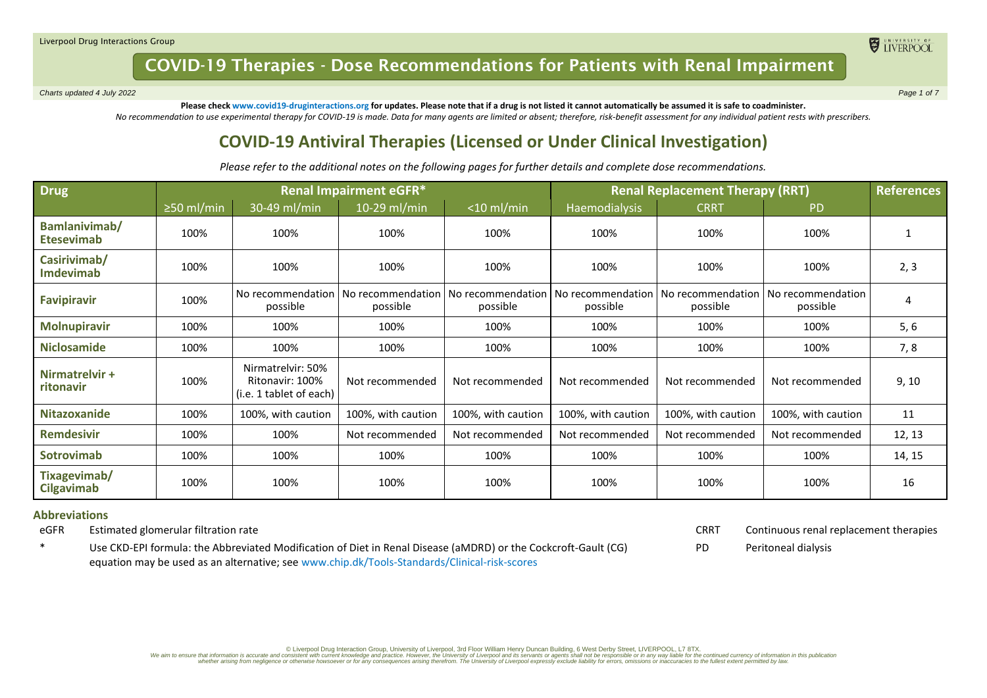*Charts updated 4 July 2022 Page 1 of 7*

ELIVERPOOL

**Please check www.covid19-druginteractions.org for updates. Please note that if a drug is not listed it cannot automatically be assumed it is safe to coadminister.**  *No recommendation to use experimental therapy for COVID-19 is made. Data for many agents are limited or absent; therefore, risk-benefit assessment for any individual patient rests with prescribers.*

## **COVID-19 Antiviral Therapies (Licensed or Under Clinical Investigation)**

*Please refer to the additional notes on the following pages for further details and complete dose recommendations.*

| <b>Drug</b>                        | <b>Renal Impairment eGFR*</b> |                                                                 |                                                   |                    | <b>Renal Replacement Therapy (RRT)</b> |                               |                               | <b>References</b> |
|------------------------------------|-------------------------------|-----------------------------------------------------------------|---------------------------------------------------|--------------------|----------------------------------------|-------------------------------|-------------------------------|-------------------|
|                                    | $\geq$ 50 ml/min              | 30-49 ml/min                                                    | 10-29 ml/min                                      | $<$ 10 ml/min      | <b>Haemodialysis</b>                   | <b>CRRT</b>                   | <b>PD</b>                     |                   |
| Bamlanivimab/<br><b>Etesevimab</b> | 100%                          | 100%                                                            | 100%                                              | 100%               | 100%                                   | 100%                          | 100%                          |                   |
| Casirivimab/<br><b>Imdevimab</b>   | 100%                          | 100%                                                            | 100%                                              | 100%               | 100%                                   | 100%                          | 100%                          | 2, 3              |
| <b>Favipiravir</b>                 | 100%                          | No recommendation<br>possible                                   | No recommendation   No recommendation<br>possible | possible           | No recommendation<br>possible          | No recommendation<br>possible | No recommendation<br>possible | 4                 |
| <b>Molnupiravir</b>                | 100%                          | 100%                                                            | 100%                                              | 100%               | 100%                                   | 100%                          | 100%                          | 5, 6              |
| <b>Niclosamide</b>                 | 100%                          | 100%                                                            | 100%                                              | 100%               | 100%                                   | 100%                          | 100%                          | 7,8               |
| Nirmatrelvir +<br>ritonavir        | 100%                          | Nirmatrelvir: 50%<br>Ritonavir: 100%<br>(i.e. 1 tablet of each) | Not recommended                                   | Not recommended    | Not recommended                        | Not recommended               | Not recommended               | 9, 10             |
| <b>Nitazoxanide</b>                | 100%                          | 100%, with caution                                              | 100%, with caution                                | 100%, with caution | 100%, with caution                     | 100%, with caution            | 100%, with caution            | 11                |
| <b>Remdesivir</b>                  | 100%                          | 100%                                                            | Not recommended                                   | Not recommended    | Not recommended                        | Not recommended               | Not recommended               | 12, 13            |
| Sotrovimab                         | 100%                          | 100%                                                            | 100%                                              | 100%               | 100%                                   | 100%                          | 100%                          | 14, 15            |
| Tixagevimab/<br><b>Cilgavimab</b>  | 100%                          | 100%                                                            | 100%                                              | 100%               | 100%                                   | 100%                          | 100%                          | 16                |

#### **Abbreviations**

eGFR Estimated glomerular filtration rate

\* Use CKD-EPI formula: the Abbreviated Modification of Diet in Renal Disease (aMDRD) or the Cockcroft-Gault (CG) equation may be used as an alternative; see [www.chip.dk/Tools-Standards/Clinical-risk-scores](http://www.chip.dk/Tools-Standards/Clinical-risk-scores)

CRRT Continuous renal replacement therapies

PD Peritoneal dialysis

Diverpool Drug Interaction Group, University of Liverpool, 3rd Floor William Henry Duncan Building, 6 West Derby Street, LIVERPOOL, L7 8TX. [76TX] and the construction in this publication in this publication in this public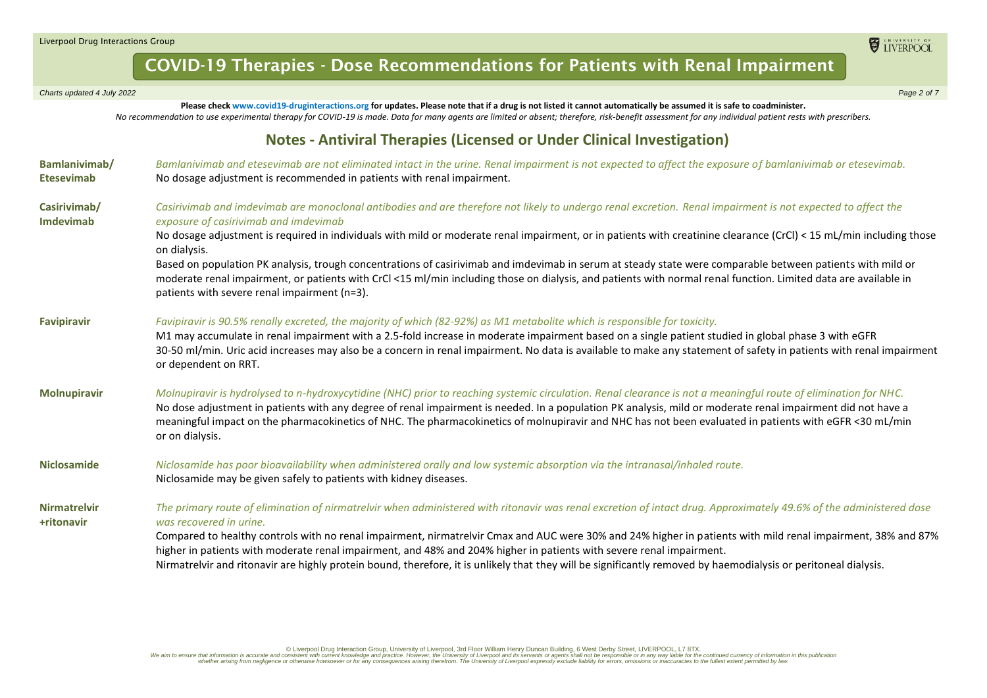*Charts updated 4 July 2022 Page 2 of 7*

**Please check www.covid19-druginteractions.org for updates. Please note that if a drug is not listed it cannot automatically be assumed it is safe to coadminister.**  *No recommendation to use experimental therapy for COVID-19 is made. Data for many agents are limited or absent; therefore, risk-benefit assessment for any individual patient rests with prescribers.*

### **Notes - Antiviral Therapies (Licensed or Under Clinical Investigation)**

| Bamlanivimab/<br><b>Etesevimab</b> | Bamlanivimab and etesevimab are not eliminated intact in the urine. Renal impairment is not expected to affect the exposure of bamlanivimab or etesevimab.<br>No dosage adjustment is recommended in patients with renal impairment.                                                                                                                                                                                                                                                                        |
|------------------------------------|-------------------------------------------------------------------------------------------------------------------------------------------------------------------------------------------------------------------------------------------------------------------------------------------------------------------------------------------------------------------------------------------------------------------------------------------------------------------------------------------------------------|
| Casirivimab/<br><b>Imdevimab</b>   | Casirivimab and imdevimab are monoclonal antibodies and are therefore not likely to undergo renal excretion. Renal impairment is not expected to affect the<br>exposure of casirivimab and imdevimab                                                                                                                                                                                                                                                                                                        |
|                                    | No dosage adjustment is required in individuals with mild or moderate renal impairment, or in patients with creatinine clearance (CrCl) < 15 mL/min including those<br>on dialysis.                                                                                                                                                                                                                                                                                                                         |
|                                    | Based on population PK analysis, trough concentrations of casirivimab and imdevimab in serum at steady state were comparable between patients with mild or<br>moderate renal impairment, or patients with CrCl <15 ml/min including those on dialysis, and patients with normal renal function. Limited data are available in<br>patients with severe renal impairment (n=3).                                                                                                                               |
| <b>Favipiravir</b>                 | Favipiravir is 90.5% renally excreted, the majority of which (82-92%) as M1 metabolite which is responsible for toxicity.<br>M1 may accumulate in renal impairment with a 2.5-fold increase in moderate impairment based on a single patient studied in global phase 3 with eGFR<br>30-50 ml/min. Uric acid increases may also be a concern in renal impairment. No data is available to make any statement of safety in patients with renal impairment<br>or dependent on RRT.                             |
| <b>Molnupiravir</b>                | Molnupiravir is hydrolysed to n-hydroxycytidine (NHC) prior to reaching systemic circulation. Renal clearance is not a meaningful route of elimination for NHC.<br>No dose adjustment in patients with any degree of renal impairment is needed. In a population PK analysis, mild or moderate renal impairment did not have a<br>meaningful impact on the pharmacokinetics of NHC. The pharmacokinetics of molnupiravir and NHC has not been evaluated in patients with eGFR <30 mL/min<br>or on dialysis. |
| <b>Niclosamide</b>                 | Niclosamide has poor bioavailability when administered orally and low systemic absorption via the intranasal/inhaled route.<br>Niclosamide may be given safely to patients with kidney diseases.                                                                                                                                                                                                                                                                                                            |
| <b>Nirmatrelvir</b><br>+ritonavir  | The primary route of elimination of nirmatrelvir when administered with ritonavir was renal excretion of intact drug. Approximately 49.6% of the administered dose<br>was recovered in urine.                                                                                                                                                                                                                                                                                                               |
|                                    | Compared to healthy controls with no renal impairment, nirmatrelvir Cmax and AUC were 30% and 24% higher in patients with mild renal impairment, 38% and 87%<br>higher in patients with moderate renal impairment, and 48% and 204% higher in patients with severe renal impairment.                                                                                                                                                                                                                        |
|                                    | Nirmatrelvir and ritonavir are highly protein bound, therefore, it is unlikely that they will be significantly removed by haemodialysis or peritoneal dialysis.                                                                                                                                                                                                                                                                                                                                             |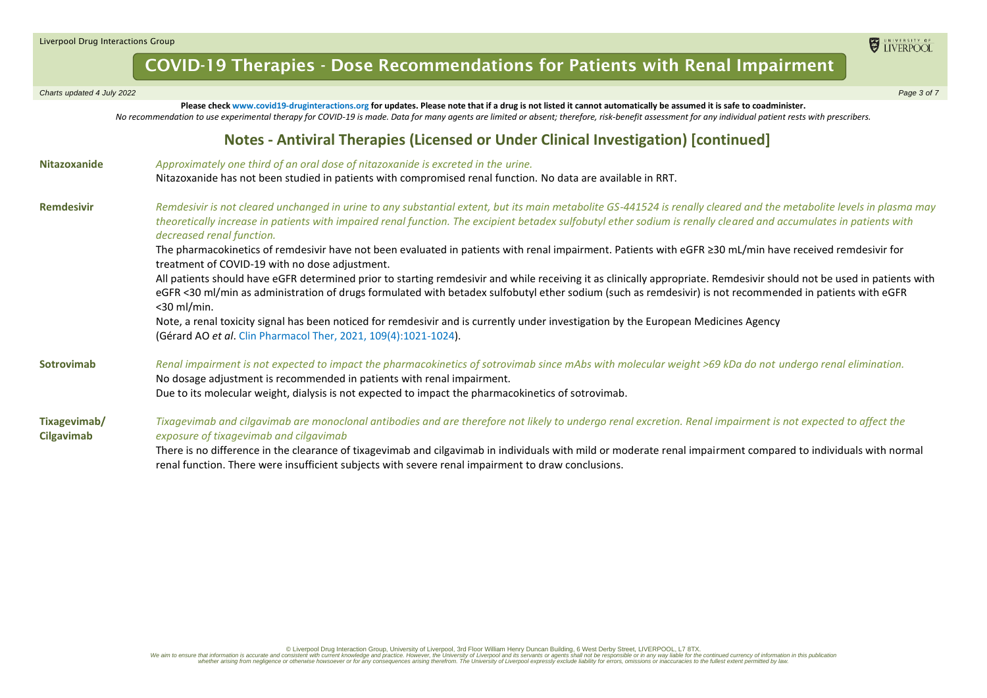| Charts updated 4 July 2022 | Page 3 of 7 |
|----------------------------|-------------|
|                            |             |

**Please check www.covid19-druginteractions.org for updates. Please note that if a drug is not listed it cannot automatically be assumed it is safe to coadminister.**  *No recommendation to use experimental therapy for COVID-19 is made. Data for many agents are limited or absent; therefore, risk-benefit assessment for any individual patient rests with prescribers.*

### **Notes - Antiviral Therapies (Licensed or Under Clinical Investigation) [continued]**

| <b>Nitazoxanide</b>        | Approximately one third of an oral dose of nitazoxanide is excreted in the urine.                                                                                                                                                                                                                                                                                       |  |  |  |  |  |  |  |
|----------------------------|-------------------------------------------------------------------------------------------------------------------------------------------------------------------------------------------------------------------------------------------------------------------------------------------------------------------------------------------------------------------------|--|--|--|--|--|--|--|
|                            | Nitazoxanide has not been studied in patients with compromised renal function. No data are available in RRT.                                                                                                                                                                                                                                                            |  |  |  |  |  |  |  |
| <b>Remdesivir</b>          | Remdesivir is not cleared unchanged in urine to any substantial extent, but its main metabolite GS-441524 is renally cleared and the metabolite levels in plasma may<br>theoretically increase in patients with impaired renal function. The excipient betadex sulfobutyl ether sodium is renally cleared and accumulates in patients with<br>decreased renal function. |  |  |  |  |  |  |  |
|                            | The pharmacokinetics of remdesivir have not been evaluated in patients with renal impairment. Patients with eGFR ≥30 mL/min have received remdesivir for<br>treatment of COVID-19 with no dose adjustment.                                                                                                                                                              |  |  |  |  |  |  |  |
|                            | All patients should have eGFR determined prior to starting remdesivir and while receiving it as clinically appropriate. Remdesivir should not be used in patients with<br>eGFR <30 ml/min as administration of drugs formulated with betadex sulfobutyl ether sodium (such as remdesivir) is not recommended in patients with eGFR<br>$<$ 30 ml/min.                    |  |  |  |  |  |  |  |
|                            | Note, a renal toxicity signal has been noticed for remdesivir and is currently under investigation by the European Medicines Agency<br>(Gérard AO et al. Clin Pharmacol Ther, 2021, 109(4):1021-1024).                                                                                                                                                                  |  |  |  |  |  |  |  |
| Sotrovimab                 | Renal impairment is not expected to impact the pharmacokinetics of sotrovimab since mAbs with molecular weight >69 kDa do not undergo renal elimination.<br>No dosage adjustment is recommended in patients with renal impairment.<br>Due to its molecular weight, dialysis is not expected to impact the pharmacokinetics of sotrovimab.                               |  |  |  |  |  |  |  |
| Tixagevimab/<br>Cilgavimab | Tixagevimab and cilgavimab are monoclonal antibodies and are therefore not likely to undergo renal excretion. Renal impairment is not expected to affect the<br>exposure of tixagevimab and cilgavimab                                                                                                                                                                  |  |  |  |  |  |  |  |
|                            | There is no difference in the clearance of tixagevimab and cilgavimab in individuals with mild or moderate renal impairment compared to individuals with normal<br>renal function. There were insufficient subjects with severe renal impairment to draw conclusions.                                                                                                   |  |  |  |  |  |  |  |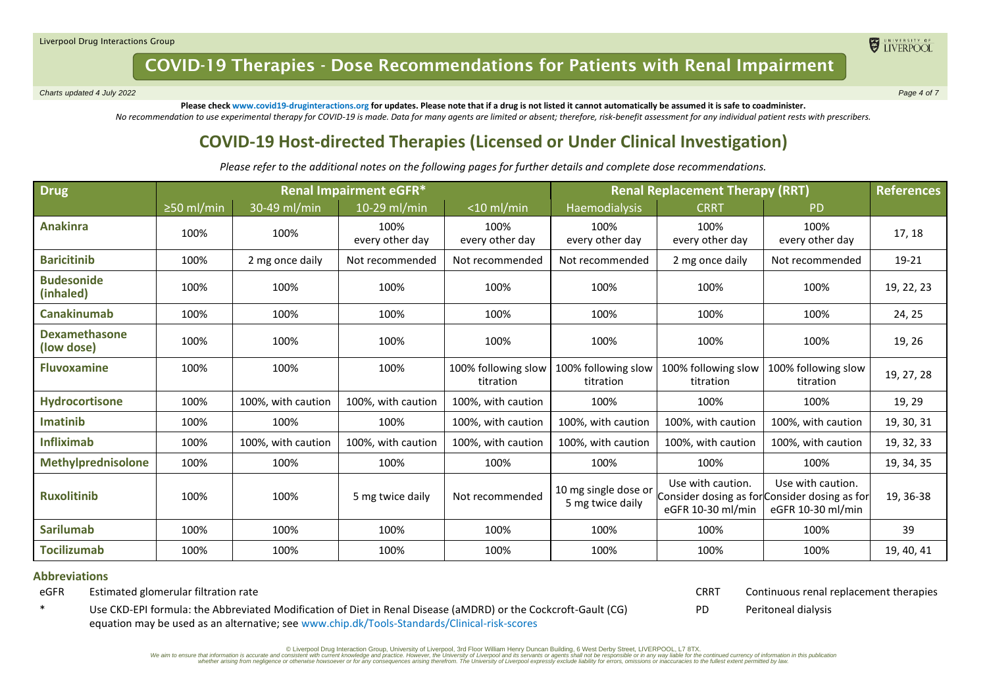*Charts updated 4 July 2022 Page 4 of 7*

ELIVERPOOL

**Please check www.covid19-druginteractions.org for updates. Please note that if a drug is not listed it cannot automatically be assumed it is safe to coadminister.**  *No recommendation to use experimental therapy for COVID-19 is made. Data for many agents are limited or absent; therefore, risk-benefit assessment for any individual patient rests with prescribers.*

### **COVID-19 Host-directed Therapies (Licensed or Under Clinical Investigation)**

*Please refer to the additional notes on the following pages for further details and complete dose recommendations.*

| <b>Drug</b>                        | <b>Renal Impairment eGFR*</b> |                    |                         |                                  | <b>Renal Replacement Therapy (RRT)</b>   |                                        |                                                                                         | <b>References</b> |
|------------------------------------|-------------------------------|--------------------|-------------------------|----------------------------------|------------------------------------------|----------------------------------------|-----------------------------------------------------------------------------------------|-------------------|
|                                    | $\geq$ 50 ml/min              | 30-49 ml/min       | 10-29 ml/min            | $<$ 10 ml/min                    | Haemodialysis                            | <b>CRRT</b>                            | <b>PD</b>                                                                               |                   |
| <b>Anakinra</b>                    | 100%                          | 100%               | 100%<br>every other day | 100%<br>every other day          | 100%<br>every other day                  | 100%<br>every other day                | 100%<br>every other day                                                                 | 17, 18            |
| <b>Baricitinib</b>                 | 100%                          | 2 mg once daily    | Not recommended         | Not recommended                  | Not recommended                          | 2 mg once daily                        | Not recommended                                                                         | 19-21             |
| <b>Budesonide</b><br>(inhaled)     | 100%                          | 100%               | 100%                    | 100%                             | 100%                                     | 100%                                   | 100%                                                                                    | 19, 22, 23        |
| <b>Canakinumab</b>                 | 100%                          | 100%               | 100%                    | 100%                             | 100%                                     | 100%                                   | 100%                                                                                    | 24, 25            |
| <b>Dexamethasone</b><br>(low dose) | 100%                          | 100%               | 100%                    | 100%                             | 100%                                     | 100%                                   | 100%                                                                                    | 19, 26            |
| <b>Fluvoxamine</b>                 | 100%                          | 100%               | 100%                    | 100% following slow<br>titration | 100% following slow<br>titration         | 100% following slow<br>titration       | 100% following slow<br>titration                                                        | 19, 27, 28        |
| Hydrocortisone                     | 100%                          | 100%, with caution | 100%, with caution      | 100%, with caution               | 100%                                     | 100%                                   | 100%                                                                                    | 19, 29            |
| Imatinib                           | 100%                          | 100%               | 100%                    | 100%, with caution               | 100%, with caution                       | 100%, with caution                     | 100%, with caution                                                                      | 19, 30, 31        |
| <b>Infliximab</b>                  | 100%                          | 100%, with caution | 100%, with caution      | 100%, with caution               | 100%, with caution                       | 100%, with caution                     | 100%, with caution                                                                      | 19, 32, 33        |
| Methylprednisolone                 | 100%                          | 100%               | 100%                    | 100%                             | 100%                                     | 100%                                   | 100%                                                                                    | 19, 34, 35        |
| <b>Ruxolitinib</b>                 | 100%                          | 100%               | 5 mg twice daily        | Not recommended                  | 10 mg single dose or<br>5 mg twice daily | Use with caution.<br>eGFR 10-30 ml/min | Use with caution.<br>Consider dosing as for Consider dosing as for<br>eGFR 10-30 ml/min | 19, 36-38         |
| <b>Sarilumab</b>                   | 100%                          | 100%               | 100%                    | 100%                             | 100%                                     | 100%                                   | 100%                                                                                    | 39                |
| <b>Tocilizumab</b>                 | 100%                          | 100%               | 100%                    | 100%                             | 100%                                     | 100%                                   | 100%                                                                                    | 19, 40, 41        |

#### **Abbreviations**

eGFR Estimated glomerular filtration rate

CRRT Continuous renal replacement therapies

PD Peritoneal dialysis

\* Use CKD-EPI formula: the Abbreviated Modification of Diet in Renal Disease (aMDRD) or the Cockcroft-Gault (CG) equation may be used as an alternative; see [www.chip.dk/Tools-Standards/Clinical-risk-scores](http://www.chip.dk/Tools-Standards/Clinical-risk-scores)

© Liverpool Drug Interaction Group, University of Liverpool, 3rd Floor William Henry Duncan Building, 6 West Derby Street, LIVERPOOL, L7 8TX.

We aim to ensure that information is accurate and consistent with current knowledge and practice. However, the University of Liverpool and its sevants or agents shall not be responsible or in any way liable late specifies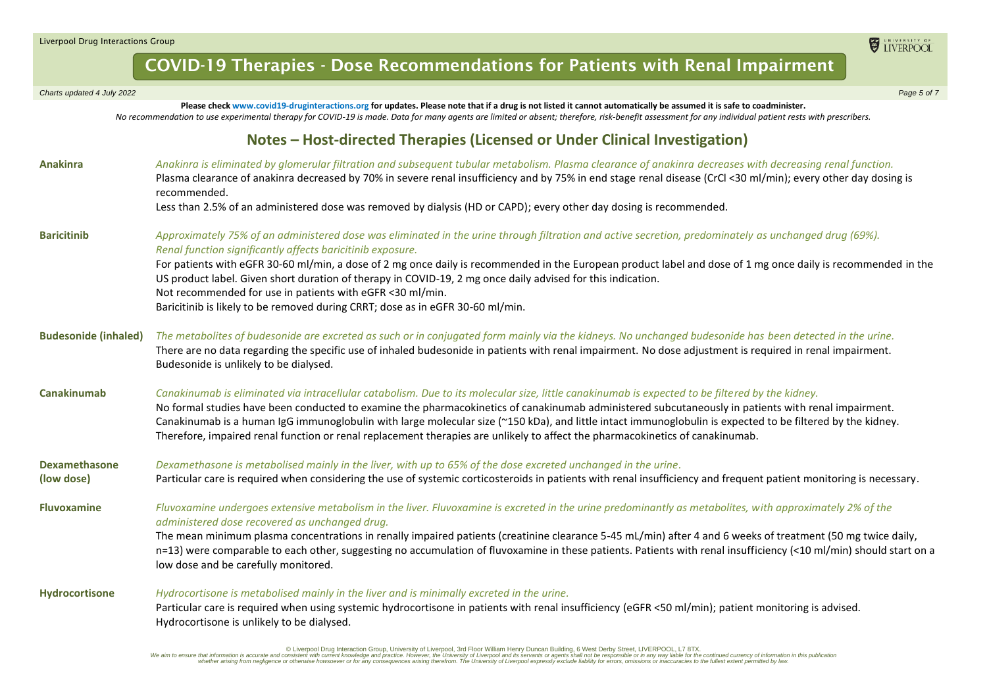| Charts updated 4 July 2022  | Page 5 of 7                                                                                                                                                                                                                                                                                                                                                                                                                                                                                                                                                                                           |
|-----------------------------|-------------------------------------------------------------------------------------------------------------------------------------------------------------------------------------------------------------------------------------------------------------------------------------------------------------------------------------------------------------------------------------------------------------------------------------------------------------------------------------------------------------------------------------------------------------------------------------------------------|
|                             | Please check www.covid19-druginteractions.org for updates. Please note that if a drug is not listed it cannot automatically be assumed it is safe to coadminister.<br>No recommendation to use experimental therapy for COVID-19 is made. Data for many agents are limited or absent; therefore, risk-benefit assessment for any individual patient rests with prescribers.                                                                                                                                                                                                                           |
|                             | Notes - Host-directed Therapies (Licensed or Under Clinical Investigation)                                                                                                                                                                                                                                                                                                                                                                                                                                                                                                                            |
| <b>Anakinra</b>             | Anakinra is eliminated by glomerular filtration and subsequent tubular metabolism. Plasma clearance of anakinra decreases with decreasing renal function.<br>Plasma clearance of anakinra decreased by 70% in severe renal insufficiency and by 75% in end stage renal disease (CrCl <30 ml/min); every other day dosing is<br>recommended.<br>Less than 2.5% of an administered dose was removed by dialysis (HD or CAPD); every other day dosing is recommended.                                                                                                                                    |
|                             |                                                                                                                                                                                                                                                                                                                                                                                                                                                                                                                                                                                                       |
| <b>Baricitinib</b>          | Approximately 75% of an administered dose was eliminated in the urine through filtration and active secretion, predominately as unchanged drug (69%).<br>Renal function significantly affects baricitinib exposure.                                                                                                                                                                                                                                                                                                                                                                                   |
|                             | For patients with eGFR 30-60 ml/min, a dose of 2 mg once daily is recommended in the European product label and dose of 1 mg once daily is recommended in the<br>US product label. Given short duration of therapy in COVID-19, 2 mg once daily advised for this indication.<br>Not recommended for use in patients with eGFR <30 ml/min.                                                                                                                                                                                                                                                             |
|                             | Baricitinib is likely to be removed during CRRT; dose as in eGFR 30-60 ml/min.                                                                                                                                                                                                                                                                                                                                                                                                                                                                                                                        |
| <b>Budesonide (inhaled)</b> | The metabolites of budesonide are excreted as such or in conjugated form mainly via the kidneys. No unchanged budesonide has been detected in the urine.<br>There are no data regarding the specific use of inhaled budesonide in patients with renal impairment. No dose adjustment is required in renal impairment.<br>Budesonide is unlikely to be dialysed.                                                                                                                                                                                                                                       |
| <b>Canakinumab</b>          | Canakinumab is eliminated via intracellular catabolism. Due to its molecular size, little canakinumab is expected to be filtered by the kidney.<br>No formal studies have been conducted to examine the pharmacokinetics of canakinumab administered subcutaneously in patients with renal impairment.<br>Canakinumab is a human IgG immunoglobulin with large molecular size (~150 kDa), and little intact immunoglobulin is expected to be filtered by the kidney.<br>Therefore, impaired renal function or renal replacement therapies are unlikely to affect the pharmacokinetics of canakinumab. |
| <b>Dexamethasone</b>        | Dexamethasone is metabolised mainly in the liver, with up to 65% of the dose excreted unchanged in the urine.                                                                                                                                                                                                                                                                                                                                                                                                                                                                                         |
| (low dose)                  | Particular care is required when considering the use of systemic corticosteroids in patients with renal insufficiency and frequent patient monitoring is necessary.                                                                                                                                                                                                                                                                                                                                                                                                                                   |
| <b>Fluvoxamine</b>          | Fluvoxamine undergoes extensive metabolism in the liver. Fluvoxamine is excreted in the urine predominantly as metabolites, with approximately 2% of the<br>administered dose recovered as unchanged drug.                                                                                                                                                                                                                                                                                                                                                                                            |
|                             | The mean minimum plasma concentrations in renally impaired patients (creatinine clearance 5-45 mL/min) after 4 and 6 weeks of treatment (50 mg twice daily,<br>n=13) were comparable to each other, suggesting no accumulation of fluvoxamine in these patients. Patients with renal insufficiency (<10 ml/min) should start on a<br>low dose and be carefully monitored.                                                                                                                                                                                                                             |
| <b>Hydrocortisone</b>       | Hydrocortisone is metabolised mainly in the liver and is minimally excreted in the urine.                                                                                                                                                                                                                                                                                                                                                                                                                                                                                                             |
|                             | Particular care is required when using systemic hydrocortisone in patients with renal insufficiency (eGFR <50 ml/min); patient monitoring is advised.<br>Hydrocortisone is unlikely to be dialysed.                                                                                                                                                                                                                                                                                                                                                                                                   |

Diverpool Drug Interaction Group, University of Liverpool, 3rd Floor William Henry Duncan Building, 6 West Derby Street, LIVERPOOL, L7 8TX. [76TX] and the construction in this publication in this publication in this public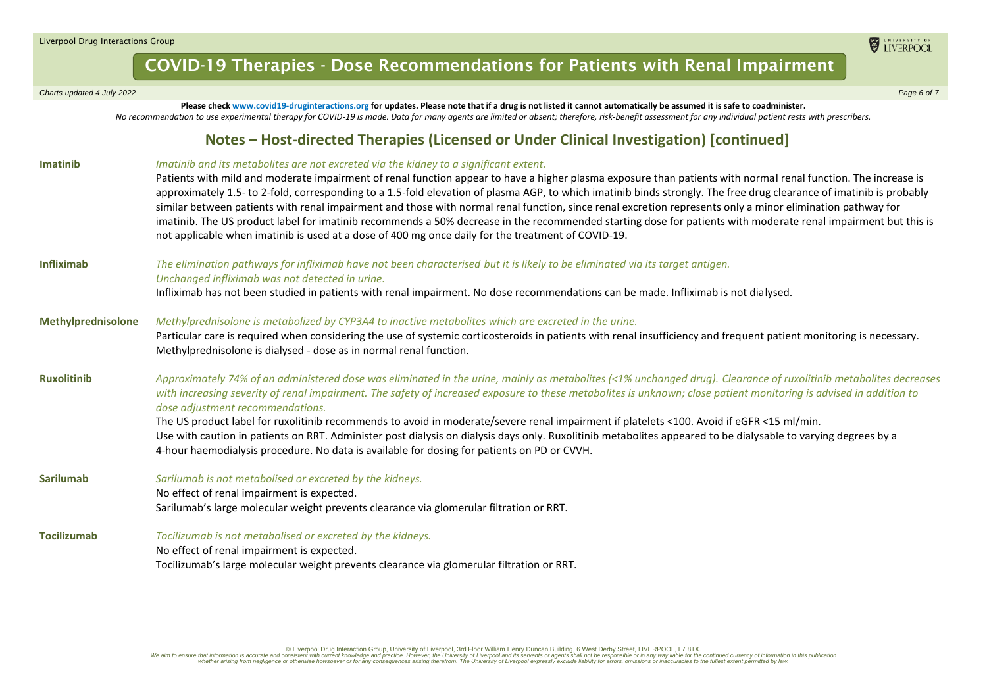#### Liverpool Drug Interactions Group

### COVID-19 Therapies - Dose Recommendations for Patients with Renal Impairment

**Please check www.covid19-druginteractions.org for updates. Please note that if a drug is not listed it cannot automatically be assumed it is safe to coadminister.** 

#### *Charts updated 4 July 2022 Page 6 of 7*

*No recommendation to use experimental therapy for COVID-19 is made. Data for many agents are limited or absent; therefore, risk-benefit assessment for any individual patient rests with prescribers.* **Notes – Host-directed Therapies (Licensed or Under Clinical Investigation) [continued] Imatinib** *Imatinib and its metabolites are not excreted via the kidney to a significant extent.* Patients with mild and moderate impairment of renal function appear to have a higher plasma exposure than patients with normal renal function. The increase is approximately 1.5- to 2-fold, corresponding to a 1.5-fold elevation of plasma AGP, to which imatinib binds strongly. The free drug clearance of imatinib is probably similar between patients with renal impairment and those with normal renal function, since renal excretion represents only a minor elimination pathway for imatinib. The US product label for imatinib recommends a 50% decrease in the recommended starting dose for patients with moderate renal impairment but this is not applicable when imatinib is used at a dose of 400 mg once daily for the treatment of COVID-19.

**Infliximab** *The elimination pathways for infliximab have not been characterised but it is likely to be eliminated via its target antigen. Unchanged infliximab was not detected in urine.* Infliximab has not been studied in patients with renal impairment. No dose recommendations can be made. Infliximab is not dialysed.

#### **Methylprednisolone** *Methylprednisolone is metabolized by CYP3A4 to inactive metabolites which are excreted in the urine.* Particular care is required when considering the use of systemic corticosteroids in patients with renal insufficiency and frequent patient monitoring is necessary. Methylprednisolone is dialysed - dose as in normal renal function.

**Ruxolitinib** *Approximately 74% of an administered dose was eliminated in the urine, mainly as metabolites (<1% unchanged drug). Clearance of ruxolitinib metabolites decreases with increasing severity of renal impairment. The safety of increased exposure to these metabolites is unknown; close patient monitoring is advised in addition to dose adjustment recommendations.*

> The US product label for ruxolitinib recommends to avoid in moderate/severe renal impairment if platelets <100. Avoid if eGFR <15 ml/min. Use with caution in patients on RRT. Administer post dialysis on dialysis days only. Ruxolitinib metabolites appeared to be dialysable to varying degrees by a 4-hour haemodialysis procedure. No data is available for dosing for patients on PD or CVVH.

- **Sarilumab** *Sarilumab is not metabolised or excreted by the kidneys.* No effect of renal impairment is expected. Sarilumab's large molecular weight prevents clearance via glomerular filtration or RRT.
- **Tocilizumab** *Tocilizumab is not metabolised or excreted by the kidneys.*  No effect of renal impairment is expected. Tocilizumab's large molecular weight prevents clearance via glomerular filtration or RRT.